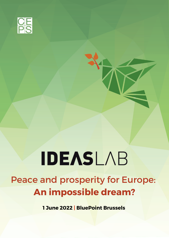

## **IDEASLAB**

## Peace and prosperity for Europe: **An impossible dream?**

**1 June 2022 | BluePoint Brussels**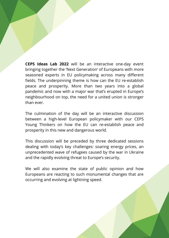**CEPS Ideas Lab 2022** will be an interactive one-day event bringing together the 'Next Generation' of Europeans with more seasoned experts in EU policymaking across many different fields. The underpinning theme is how can the EU re-establish peace and prosperity. More than two years into a global pandemic and now with a major war that's erupted in Europe's neighbourhood on top, the need for a united union is stronger than ever.

The culmination of the day will be an interactive discussion between a high-level European policymaker with our CEPS Young Thinkers on how the EU can re-establish peace and prosperity in this new and dangerous world.

This discussion will be preceded by three dedicated sessions dealing with today's key challenges: soaring energy prices, an unprecedented wave of refugees caused by the war in Ukraine and the rapidly evolving threat to Europe's security.

We will also examine the state of public opinion and how Europeans are reacting to such monumental changes that are occurring and evolving at lightning speed.